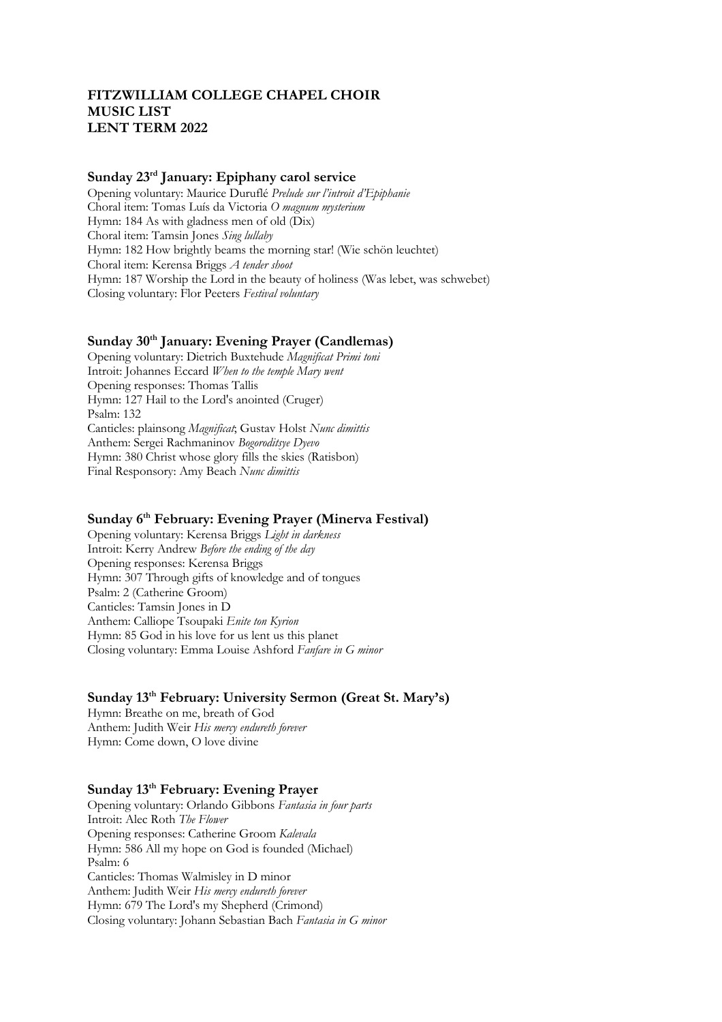# **FITZWILLIAM COLLEGE CHAPEL CHOIR MUSIC LIST LENT TERM 2022**

#### **Sunday 23rd January: Epiphany carol service**

Opening voluntary: Maurice Duruflé *Prelude sur l'introit d'Epiphanie* Choral item: Tomas Luís da Victoria *O magnum mysterium* Hymn: 184 As with gladness men of old (Dix) Choral item: Tamsin Jones *Sing lullaby* Hymn: 182 How brightly beams the morning star! (Wie schön leuchtet) Choral item: Kerensa Briggs *A tender shoot* Hymn: 187 Worship the Lord in the beauty of holiness (Was lebet, was schwebet) Closing voluntary: Flor Peeters *Festival voluntary* 

# **Sunday 30th January: Evening Prayer (Candlemas)**

Opening voluntary: Dietrich Buxtehude *Magnificat Primi toni* Introit: Johannes Eccard *When to the temple Mary went* Opening responses: Thomas Tallis Hymn: 127 Hail to the Lord's anointed (Cruger) Psalm: 132 Canticles: plainsong *Magnificat*; Gustav Holst *Nunc dimittis* Anthem: Sergei Rachmaninov *Bogoroditsye Dyevo* Hymn: 380 Christ whose glory fills the skies (Ratisbon) Final Responsory: Amy Beach *Nunc dimittis* 

# **Sunday 6th February: Evening Prayer (Minerva Festival)**

Opening voluntary: Kerensa Briggs *Light in darkness*  Introit: Kerry Andrew *Before the ending of the day* Opening responses: Kerensa Briggs Hymn: 307 Through gifts of knowledge and of tongues Psalm: 2 (Catherine Groom) Canticles: Tamsin Jones in D Anthem: Calliope Tsoupaki *Enite ton Kyrion* Hymn: 85 God in his love for us lent us this planet Closing voluntary: Emma Louise Ashford *Fanfare in G minor*

### **Sunday 13th February: University Sermon (Great St. Mary's)**

Hymn: Breathe on me, breath of God Anthem: Judith Weir *His mercy endureth forever* Hymn: Come down, O love divine

### **Sunday 13th February: Evening Prayer**

Opening voluntary: Orlando Gibbons *Fantasia in four parts* Introit: Alec Roth *The Flower* Opening responses: Catherine Groom *Kalevala* Hymn: 586 All my hope on God is founded (Michael) Psalm: 6 Canticles: Thomas Walmisley in D minor Anthem: Judith Weir *His mercy endureth forever* Hymn: 679 The Lord's my Shepherd (Crimond) Closing voluntary: Johann Sebastian Bach *Fantasia in G minor*